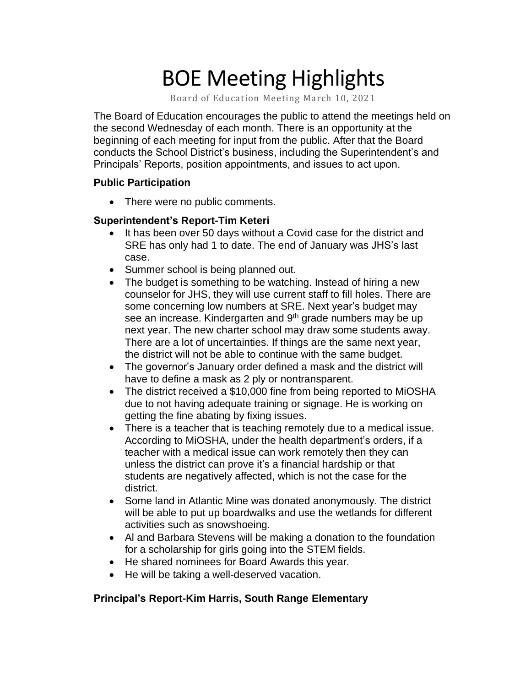# BOE Meeting Highlights

Board of Education Meeting March 10, 2021

 The Board of Education encourages the public to attend the meetings held on the second Wednesday of each month. There is an opportunity at the beginning of each meeting for input from the public. After that the Board conducts the School District's business, including the Superintendent's and Principals' Reports, position appointments, and issues to act upon.

#### **Public Participation**

• There were no public comments.

#### **Superintendent's Report-Tim Keteri**

- It has been over 50 days without a Covid case for the district and SRE has only had 1 to date. The end of January was JHS's last case.
- Summer school is being planned out.
- The budget is something to be watching. Instead of hiring a new counselor for JHS, they will use current staff to fill holes. There are some concerning low numbers at SRE. Next year's budget may see an increase. Kindergarten and 9<sup>th</sup> grade numbers may be up next year. The new charter school may draw some students away. There are a lot of uncertainties. If things are the same next year, the district will not be able to continue with the same budget.
- The governor's January order defined a mask and the district will have to define a mask as 2 ply or nontransparent.
- The district received a \$10,000 fine from being reported to MiOSHA due to not having adequate training or signage. He is working on getting the fine abating by fixing issues.
- There is a teacher that is teaching remotely due to a medical issue. According to MiOSHA, under the health department's orders, if a teacher with a medical issue can work remotely then they can unless the district can prove it's a financial hardship or that students are negatively affected, which is not the case for the district.
- Some land in Atlantic Mine was donated anonymously. The district will be able to put up boardwalks and use the wetlands for different activities such as snowshoeing.
- Al and Barbara Stevens will be making a donation to the foundation for a scholarship for girls going into the STEM fields.
- He shared nominees for Board Awards this year.
- He will be taking a well-deserved vacation.

## **Principal's Report-Kim Harris, South Range Elementary**